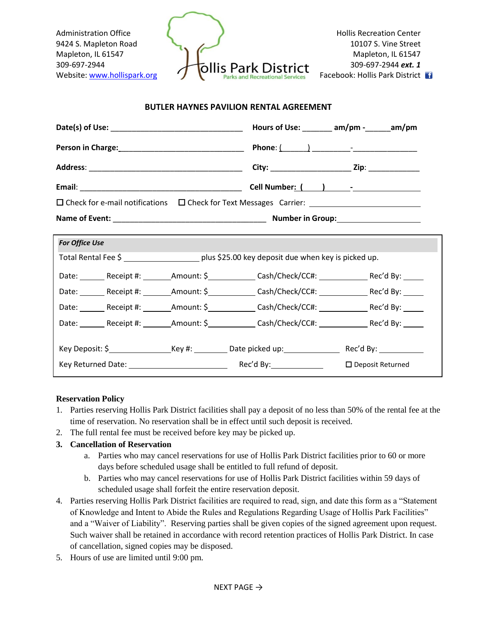

#### **BUTLER HAYNES PAVILION RENTAL AGREEMENT**

|                                                       |  | Hours of Use: $\_\_\_\_$ am/pm - $\_\_\_$ am/pm |                         |
|-------------------------------------------------------|--|-------------------------------------------------|-------------------------|
|                                                       |  |                                                 |                         |
|                                                       |  |                                                 |                         |
|                                                       |  |                                                 |                         |
|                                                       |  |                                                 |                         |
|                                                       |  |                                                 |                         |
| <b>For Office Use</b>                                 |  |                                                 |                         |
|                                                       |  |                                                 |                         |
| Date: Receipt #: Amount: \$ Cash/Check/CC#: Rec'd By: |  |                                                 |                         |
|                                                       |  |                                                 |                         |
|                                                       |  |                                                 |                         |
| Date: Receipt #: Amount: \$ Cash/Check/CC#: Rec'd By: |  |                                                 |                         |
|                                                       |  |                                                 |                         |
|                                                       |  |                                                 | $\Box$ Deposit Returned |

#### **Reservation Policy**

- 1. Parties reserving Hollis Park District facilities shall pay a deposit of no less than 50% of the rental fee at the time of reservation. No reservation shall be in effect until such deposit is received.
- 2. The full rental fee must be received before key may be picked up.

### **3. Cancellation of Reservation**

- a. Parties who may cancel reservations for use of Hollis Park District facilities prior to 60 or more days before scheduled usage shall be entitled to full refund of deposit.
- b. Parties who may cancel reservations for use of Hollis Park District facilities within 59 days of scheduled usage shall forfeit the entire reservation deposit.
- 4. Parties reserving Hollis Park District facilities are required to read, sign, and date this form as a "Statement of Knowledge and Intent to Abide the Rules and Regulations Regarding Usage of Hollis Park Facilities" and a "Waiver of Liability". Reserving parties shall be given copies of the signed agreement upon request. Such waiver shall be retained in accordance with record retention practices of Hollis Park District. In case of cancellation, signed copies may be disposed.
- 5. Hours of use are limited until 9:00 pm.